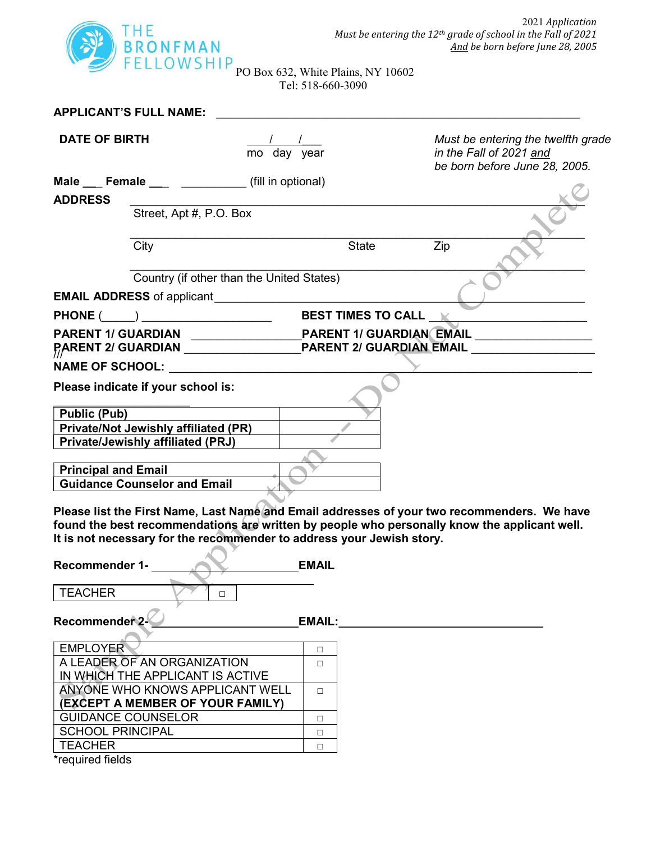

PO Box 632, White Plains, NY 10602 Tel: 518-660-3090

| <b>APPLICANT'S FULL NAME:</b>                                                                                                                                                                                                                                                                                                                                      |                                           |                      |                                                                                                                                                                                             |
|--------------------------------------------------------------------------------------------------------------------------------------------------------------------------------------------------------------------------------------------------------------------------------------------------------------------------------------------------------------------|-------------------------------------------|----------------------|---------------------------------------------------------------------------------------------------------------------------------------------------------------------------------------------|
| <b>DATE OF BIRTH</b>                                                                                                                                                                                                                                                                                                                                               | mo day year                               |                      | Must be entering the twelfth grade<br>in the Fall of 2021 and<br>be born before June 28, 2005.                                                                                              |
|                                                                                                                                                                                                                                                                                                                                                                    |                                           |                      |                                                                                                                                                                                             |
| <b>ADDRESS</b>                                                                                                                                                                                                                                                                                                                                                     |                                           |                      |                                                                                                                                                                                             |
| Street, Apt #, P.O. Box                                                                                                                                                                                                                                                                                                                                            |                                           |                      |                                                                                                                                                                                             |
| City                                                                                                                                                                                                                                                                                                                                                               |                                           | <b>State</b>         | Zip                                                                                                                                                                                         |
|                                                                                                                                                                                                                                                                                                                                                                    | Country (if other than the United States) |                      |                                                                                                                                                                                             |
| <b>EMAIL ADDRESS</b> of applicant                                                                                                                                                                                                                                                                                                                                  |                                           |                      |                                                                                                                                                                                             |
| $\begin{picture}(150,10) \put(0,0){\vector(1,0){100}} \put(15,0){\vector(1,0){100}} \put(15,0){\vector(1,0){100}} \put(15,0){\vector(1,0){100}} \put(15,0){\vector(1,0){100}} \put(15,0){\vector(1,0){100}} \put(15,0){\vector(1,0){100}} \put(15,0){\vector(1,0){100}} \put(15,0){\vector(1,0){100}} \put(15,0){\vector(1,0){100}} \put(15,0){\vector(1,0){100}}$ |                                           | BEST TIMES TO CALL K |                                                                                                                                                                                             |
|                                                                                                                                                                                                                                                                                                                                                                    |                                           |                      | <u> 1980 - Andrea Amerikaanse kommunister († 1950)</u>                                                                                                                                      |
| <b>PARENT 1/ GUARDIAN</b>                                                                                                                                                                                                                                                                                                                                          |                                           |                      | PARENT 1/ GUARDIAN EMAIL<br>PARENT 2/ GUARDIAN <b>Example 2</b> PARENT 2/ GUARDIAN EMAIL                                                                                                    |
| NAME OF SCHOOL: <u>________________________</u>                                                                                                                                                                                                                                                                                                                    |                                           |                      |                                                                                                                                                                                             |
| Please indicate if your school is:                                                                                                                                                                                                                                                                                                                                 |                                           |                      |                                                                                                                                                                                             |
| <b>Public (Pub)</b>                                                                                                                                                                                                                                                                                                                                                |                                           |                      |                                                                                                                                                                                             |
| <b>Private/Not Jewishly affiliated (PR)</b>                                                                                                                                                                                                                                                                                                                        |                                           |                      |                                                                                                                                                                                             |
| <b>Private/Jewishly affiliated (PRJ)</b>                                                                                                                                                                                                                                                                                                                           |                                           |                      |                                                                                                                                                                                             |
|                                                                                                                                                                                                                                                                                                                                                                    |                                           |                      |                                                                                                                                                                                             |
| <b>Principal and Email</b>                                                                                                                                                                                                                                                                                                                                         |                                           |                      |                                                                                                                                                                                             |
| <b>Guidance Counselor and Email</b>                                                                                                                                                                                                                                                                                                                                |                                           |                      |                                                                                                                                                                                             |
| It is not necessary for the recommender to address your Jewish story.<br><b>Recommender 1-</b>                                                                                                                                                                                                                                                                     | <b>EMAIL</b>                              |                      | Please list the First Name, Last Name and Email addresses of your two recommenders. We have<br>found the best recommendations are written by people who personally know the applicant well. |
| <b>TEACHER</b><br>$\Box$                                                                                                                                                                                                                                                                                                                                           |                                           |                      |                                                                                                                                                                                             |
| Recommender 2-                                                                                                                                                                                                                                                                                                                                                     | <b>EMAIL:</b>                             |                      |                                                                                                                                                                                             |
| <b>EMPLOYER</b>                                                                                                                                                                                                                                                                                                                                                    | $\Box$                                    |                      |                                                                                                                                                                                             |
| A LEADER OF AN ORGANIZATION                                                                                                                                                                                                                                                                                                                                        | П                                         |                      |                                                                                                                                                                                             |
| IN WHICH THE APPLICANT IS ACTIVE                                                                                                                                                                                                                                                                                                                                   |                                           |                      |                                                                                                                                                                                             |
| ANYONE WHO KNOWS APPLICANT WELL                                                                                                                                                                                                                                                                                                                                    | $\Box$                                    |                      |                                                                                                                                                                                             |
| <b>(EXCEPT A MEMBER OF YOUR FAMILY)</b>                                                                                                                                                                                                                                                                                                                            |                                           |                      |                                                                                                                                                                                             |
| <b>GUIDANCE COUNSELOR</b>                                                                                                                                                                                                                                                                                                                                          | $\Box$                                    |                      |                                                                                                                                                                                             |
| <b>SCHOOL PRINCIPAL</b>                                                                                                                                                                                                                                                                                                                                            | $\Box$                                    |                      |                                                                                                                                                                                             |
| <b>TEACHER</b>                                                                                                                                                                                                                                                                                                                                                     | $\Box$                                    |                      |                                                                                                                                                                                             |
| *required fields                                                                                                                                                                                                                                                                                                                                                   |                                           |                      |                                                                                                                                                                                             |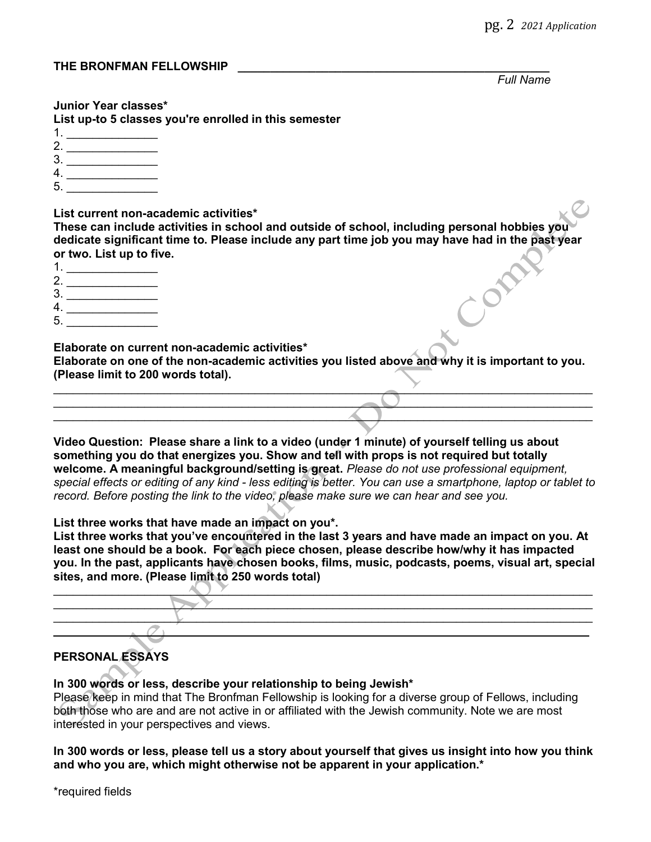Full Name

#### Junior Year classes\*

List up-to 5 classes you're enrolled in this semester

- 1.
- 2.
- $3.$
- 4. \_\_\_\_\_\_\_\_\_\_\_\_\_\_
- 5. \_\_\_\_\_\_\_\_\_\_\_\_\_\_

List current non-academic activities\*

These can include activities in school and outside of school, including personal hobbies you dedicate significant time to. Please include any part time job you may have had in the past year or two. List up to five.

- 1. \_\_\_\_\_\_\_\_\_\_\_\_\_\_
- 2.
- $3.$
- 4. \_\_\_\_\_\_\_\_\_\_\_\_\_\_
- 5. \_\_\_\_\_\_\_\_\_\_\_\_\_\_

Elaborate on current non-academic activities\*

Elaborate on one of the non-academic activities you listed above and why it is important to you. (Please limit to 200 words total).

 $\mathcal{L}$  , the contract of the contract of the contract of the contract of the contract of the contract of the contract of the contract of the contract of the contract of the contract of the contract of the contract of th  $\Box$  $\left\langle \begin{array}{c} \lambda \end{array} \right\rangle$ 

Video Question: Please share a link to a video (under 1 minute) of yourself telling us about something you do that energizes you. Show and tell with props is not required but totally welcome. A meaningful background/setting is great. Please do not use professional equipment, special effects or editing of any kind - less editing is better. You can use a smartphone, laptop or tablet to record. Before posting the link to the video, please make sure we can hear and see you.

List three works that have made an impact on you\*.

List three works that you've encountered in the last 3 years and have made an impact on you. At least one should be a book. For each piece chosen, please describe how/why it has impacted you. In the past, applicants have chosen books, films, music, podcasts, poems, visual art, special sites, and more. (Please limit to 250 words total)



# PERSONAL ESSAYS

# In 300 words or less, describe your relationship to being Jewish\*

Please keep in mind that The Bronfman Fellowship is looking for a diverse group of Fellows, including both those who are and are not active in or affiliated with the Jewish community. Note we are most interested in your perspectives and views.

In 300 words or less, please tell us a story about yourself that gives us insight into how you think and who you are, which might otherwise not be apparent in your application.\*

\*required fields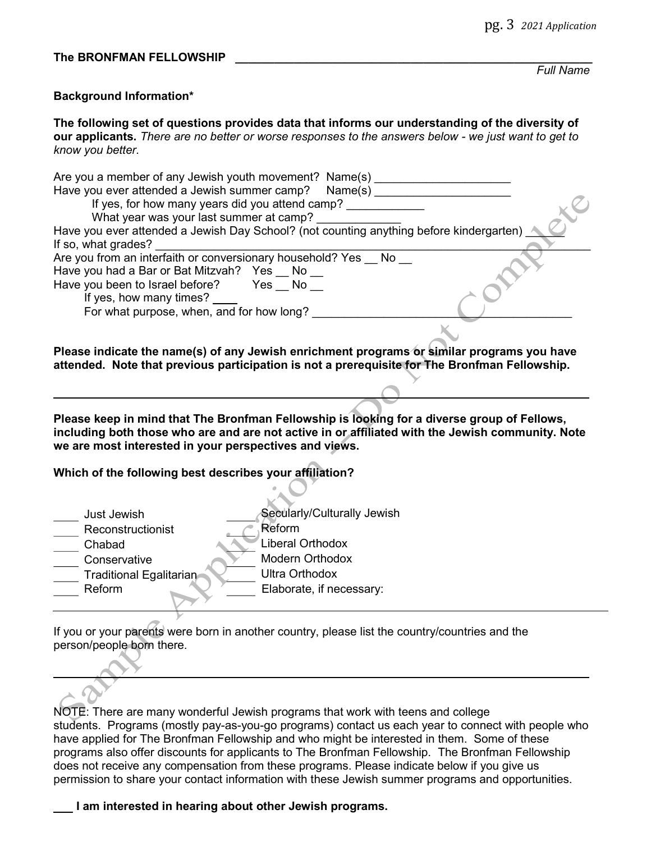#### The BRONFMAN FELLOWSHIP

Full Name

### Background Information\*

ı

 $\overline{\phantom{0}}$ 

The following set of questions provides data that informs our understanding of the diversity of our applicants. There are no better or worse responses to the answers below - we just want to get to know you better.

| Are you a member of any Jewish youth movement? Name(s)<br>Have you ever attended a Jewish summer camp? Name(s) |
|----------------------------------------------------------------------------------------------------------------|
| If yes, for how many years did you attend camp?                                                                |
| What year was your last summer at camp?                                                                        |
| Have you ever attended a Jewish Day School? (not counting anything before kindergarten)                        |
| If so, what grades?                                                                                            |
| Are you from an interfaith or conversionary household? Yes No                                                  |
| Have you had a Bar or Bat Mitzvah? Yes No                                                                      |
| Have you been to Israel before? Yes No                                                                         |
| If yes, how many times? ___                                                                                    |
| For what purpose, when, and for how long?                                                                      |
|                                                                                                                |
|                                                                                                                |

Please indicate the name(s) of any Jewish enrichment programs or similar programs you have attended. Note that previous participation is not a prerequisite for The Bronfman Fellowship.

Please keep in mind that The Bronfman Fellowship is looking for a diverse group of Fellows, including both those who are and are not active in or affiliated with the Jewish community. Note we are most interested in your perspectives and views.

## Which of the following best describes your affiliation?

| Just Jewish             | Secularly/Culturally Jewish |
|-------------------------|-----------------------------|
| Reconstructionist       | Reform                      |
| Chabad                  | Liberal Orthodox            |
| Conservative            | <b>Modern Orthodox</b>      |
| Traditional Egalitarian | <b>Ultra Orthodox</b>       |
| Reform                  | Elaborate, if necessary:    |

If you or your parents were born in another country, please list the country/countries and the person/people born there.

NOTE: There are many wonderful Jewish programs that work with teens and college students. Programs (mostly pay-as-you-go programs) contact us each year to connect with people who have applied for The Bronfman Fellowship and who might be interested in them. Some of these programs also offer discounts for applicants to The Bronfman Fellowship. The Bronfman Fellowship does not receive any compensation from these programs. Please indicate below if you give us permission to share your contact information with these Jewish summer programs and opportunities.

### I am interested in hearing about other Jewish programs.